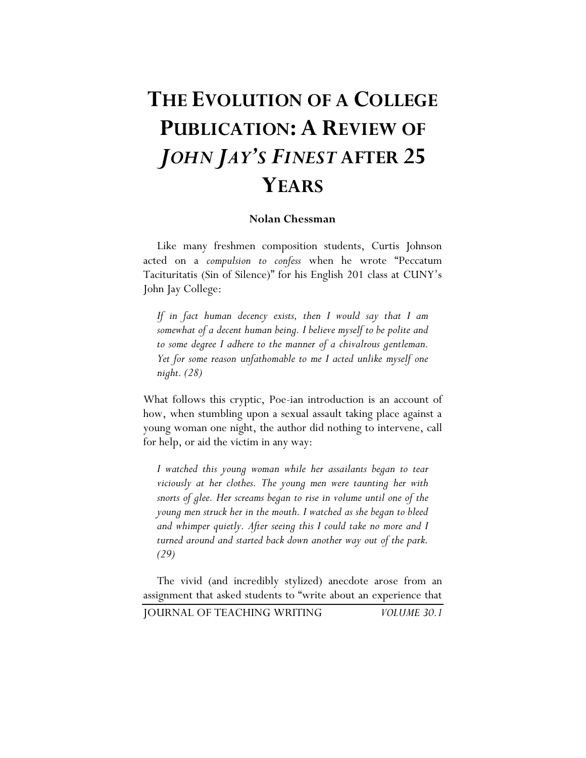## **THE EVOLUTION OF A COLLEGE PUBLICATION: A REVIEW OF**  *JOHN JAY'S FINEST* **AFTER 25 YEARS**

## **Nolan Chessman**

Like many freshmen composition students, Curtis Johnson acted on a *compulsion to confess* when he wrote "Peccatum Tacituritatis (Sin of Silence)" for his English 201 class at CUNY's John Jay College:

*If in fact human decency exists, then I would say that I am somewhat of a decent human being. I believe myself to be polite and to some degree I adhere to the manner of a chivalrous gentleman. Yet for some reason unfathomable to me I acted unlike myself one night. (28)*

What follows this cryptic, Poe-ian introduction is an account of how, when stumbling upon a sexual assault taking place against a young woman one night, the author did nothing to intervene, call for help, or aid the victim in any way:

*I watched this young woman while her assailants began to tear viciously at her clothes. The young men were taunting her with snorts of glee. Her screams began to rise in volume until one of the young men struck her in the mouth. I watched as she began to bleed and whimper quietly. After seeing this I could take no more and I turned around and started back down another way out of the park. (29)*

The vivid (and incredibly stylized) anecdote arose from an assignment that asked students to "write about an experience that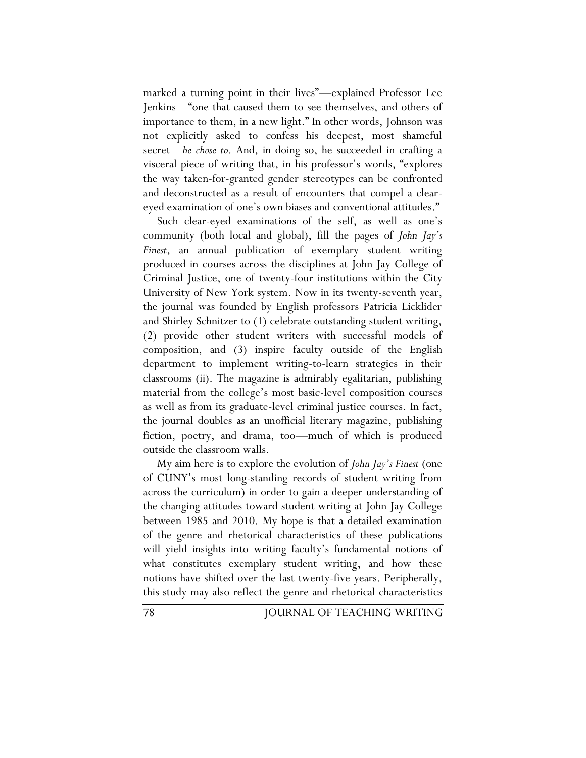marked a turning point in their lives"—explained Professor Lee Jenkins—"one that caused them to see themselves, and others of importance to them, in a new light." In other words, Johnson was not explicitly asked to confess his deepest, most shameful secret—*he chose to*. And, in doing so, he succeeded in crafting a visceral piece of writing that, in his professor's words, "explores the way taken-for-granted gender stereotypes can be confronted and deconstructed as a result of encounters that compel a cleareyed examination of one's own biases and conventional attitudes."

Such clear-eyed examinations of the self, as well as one's community (both local and global), fill the pages of *John Jay's Finest*, an annual publication of exemplary student writing produced in courses across the disciplines at John Jay College of Criminal Justice, one of twenty-four institutions within the City University of New York system. Now in its twenty-seventh year, the journal was founded by English professors Patricia Licklider and Shirley Schnitzer to (1) celebrate outstanding student writing, (2) provide other student writers with successful models of composition, and (3) inspire faculty outside of the English department to implement writing-to-learn strategies in their classrooms (ii). The magazine is admirably egalitarian, publishing material from the college's most basic-level composition courses as well as from its graduate-level criminal justice courses. In fact, the journal doubles as an unofficial literary magazine, publishing fiction, poetry, and drama, too—much of which is produced outside the classroom walls.

My aim here is to explore the evolution of *John Jay's Finest* (one of CUNY's most long-standing records of student writing from across the curriculum) in order to gain a deeper understanding of the changing attitudes toward student writing at John Jay College between 1985 and 2010. My hope is that a detailed examination of the genre and rhetorical characteristics of these publications will yield insights into writing faculty's fundamental notions of what constitutes exemplary student writing, and how these notions have shifted over the last twenty-five years. Peripherally, this study may also reflect the genre and rhetorical characteristics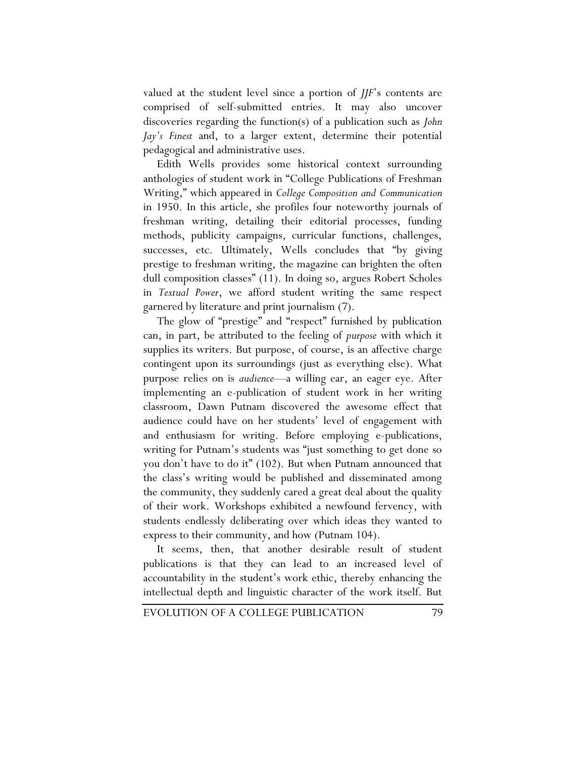valued at the student level since a portion of *JJF*'s contents are comprised of self-submitted entries. It may also uncover discoveries regarding the function(s) of a publication such as *John Jay's Finest* and, to a larger extent, determine their potential pedagogical and administrative uses.

Edith Wells provides some historical context surrounding anthologies of student work in "College Publications of Freshman Writing," which appeared in *College Composition and Communication* in 1950. In this article, she profiles four noteworthy journals of freshman writing, detailing their editorial processes, funding methods, publicity campaigns, curricular functions, challenges, successes, etc. Ultimately, Wells concludes that "by giving prestige to freshman writing, the magazine can brighten the often dull composition classes" (11). In doing so, argues Robert Scholes in *Textual Power*, we afford student writing the same respect garnered by literature and print journalism (7).

The glow of "prestige" and "respect" furnished by publication can, in part, be attributed to the feeling of *purpose* with which it supplies its writers. But purpose, of course, is an affective charge contingent upon its surroundings (just as everything else). What purpose relies on is *audience*—a willing ear, an eager eye. After implementing an e-publication of student work in her writing classroom, Dawn Putnam discovered the awesome effect that audience could have on her students' level of engagement with and enthusiasm for writing. Before employing e-publications, writing for Putnam's students was "just something to get done so you don't have to do it" (102). But when Putnam announced that the class's writing would be published and disseminated among the community, they suddenly cared a great deal about the quality of their work. Workshops exhibited a newfound fervency, with students endlessly deliberating over which ideas they wanted to express to their community, and how (Putnam 104).

It seems, then, that another desirable result of student publications is that they can lead to an increased level of accountability in the student's work ethic, thereby enhancing the intellectual depth and linguistic character of the work itself. But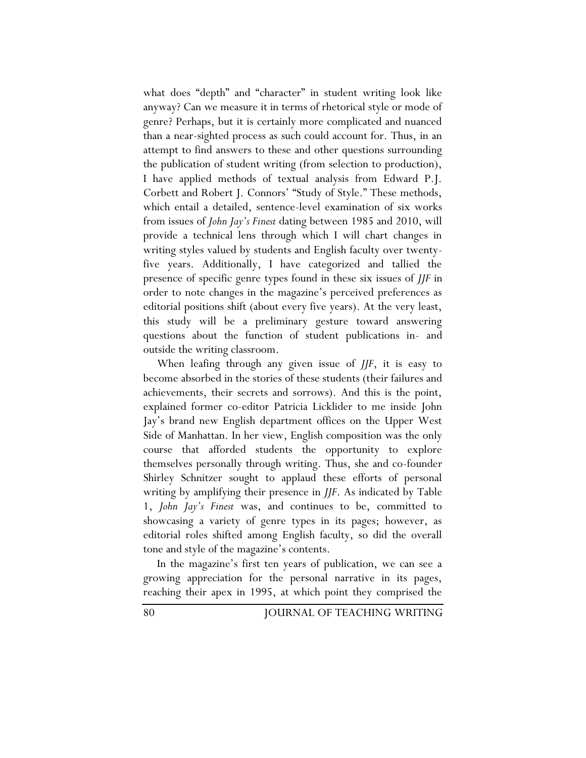what does "depth" and "character" in student writing look like anyway? Can we measure it in terms of rhetorical style or mode of genre? Perhaps, but it is certainly more complicated and nuanced than a near-sighted process as such could account for. Thus, in an attempt to find answers to these and other questions surrounding the publication of student writing (from selection to production), I have applied methods of textual analysis from Edward P.J. Corbett and Robert J. Connors' "Study of Style." These methods, which entail a detailed, sentence-level examination of six works from issues of *John Jay's Finest* dating between 1985 and 2010, will provide a technical lens through which I will chart changes in writing styles valued by students and English faculty over twentyfive years. Additionally, I have categorized and tallied the presence of specific genre types found in these six issues of *JJF* in order to note changes in the magazine's perceived preferences as editorial positions shift (about every five years). At the very least, this study will be a preliminary gesture toward answering questions about the function of student publications in- and outside the writing classroom.

When leafing through any given issue of *JJF*, it is easy to become absorbed in the stories of these students (their failures and achievements, their secrets and sorrows). And this is the point, explained former co-editor Patricia Licklider to me inside John Jay's brand new English department offices on the Upper West Side of Manhattan. In her view, English composition was the only course that afforded students the opportunity to explore themselves personally through writing. Thus, she and co-founder Shirley Schnitzer sought to applaud these efforts of personal writing by amplifying their presence in *JJF*. As indicated by Table 1, *John Jay's Finest* was, and continues to be, committed to showcasing a variety of genre types in its pages; however, as editorial roles shifted among English faculty, so did the overall tone and style of the magazine's contents.

In the magazine's first ten years of publication, we can see a growing appreciation for the personal narrative in its pages, reaching their apex in 1995, at which point they comprised the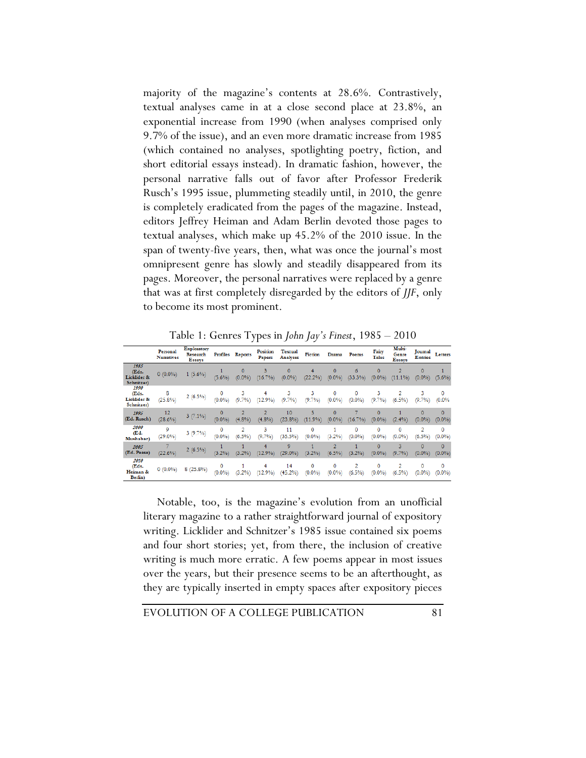majority of the magazine's contents at 28.6%. Contrastively, textual analyses came in at a close second place at 23.8%, an exponential increase from 1990 (when analyses comprised only 9.7% of the issue), and an even more dramatic increase from 1985 (which contained no analyses, spotlighting poetry, fiction, and short editorial essays instead). In dramatic fashion, however, the personal narrative falls out of favor after Professor Frederik Rusch's 1995 issue, plummeting steadily until, in 2010, the genre is completely eradicated from the pages of the magazine. Instead, editors Jeffrey Heiman and Adam Berlin devoted those pages to textual analyses, which make up 45.2% of the 2010 issue. In the span of twenty-five years, then, what was once the journal's most omnipresent genre has slowly and steadily disappeared from its pages. Moreover, the personal narratives were replaced by a genre that was at first completely disregarded by the editors of *JJF*, only to become its most prominent.

Table 1: Genres Types in *John Jay's Finest*, 1985 – 2010

|                                              | Personal<br><b>Narratives</b> | <b>Exploratory</b><br>Research<br>Essays | Profiles        | Reports                 | <b>Position</b><br>Papers | Textual<br>Analyses | Fiction        | Drama                      | Poems          | Fairy<br>Tales          | Multi-<br>Genre<br>Essays | Journal<br><b>Entries</b> | Letters               |
|----------------------------------------------|-------------------------------|------------------------------------------|-----------------|-------------------------|---------------------------|---------------------|----------------|----------------------------|----------------|-------------------------|---------------------------|---------------------------|-----------------------|
| 1985<br>(Eds.<br>Licklider &<br>Schnitzer)   | $0(0.0\%)$                    | $1(5.6\%)$                               | $(5.6\%)$       | 0<br>$(0.0\%$           | 3<br>(16.7%)              | 0<br>$(0.0\%)$      | 4<br>(22.2%    | 0<br>$(0.0\% )$            | 6<br>(33.3%)   | 0<br>$(0.0\% )$         | $(11.1\%)$                | 0<br>$(0.0\%$             | $(5.6\%)$             |
| 1990<br>(Eds.<br>Licklider &<br>Schnitzer)   | 8<br>$(25.8\%)$               | $2(6.5\%)$                               | 0<br>(0.0%      | 3<br>(9.7%              | 4<br>12.9%                | 3<br>(9.7%)         | 3<br>(9.7%     | 0<br>$(0.0\%$              | 0<br>$(0.0\%)$ | 3<br>(9.7%              | 2<br>$(6.5\%)$            | 3<br>(9.7%                | 0<br>(0.0%            |
| 1995<br>(Ed. Rusch)                          | 12<br>$(28.6\%)$              | $3(7.1\%)$                               | 0<br>$(0.0\% )$ | $\overline{2}$<br>(4.8% | $\overline{2}$<br>(4.8%   | 10<br>(23.8%)       | 5<br>(11.9%    | $\overline{0}$<br>$(0.0\%$ | $(16.7\%)$     | $\overline{0}$<br>(0.0% | (2.4%                     | $\mathbf{0}$<br>$(0.0\%$  | $\Omega$<br>$(0.0\%)$ |
| 2000<br>(Ed.<br>Mushabac)                    | 9<br>$(29.0\%)$               | $3(9.7\%)$                               | 0<br>$(0.0\%$   | 2<br>(6.5%              | 3<br>(9.7%                | 11<br>(35.5%)       | 0<br>$(0.0\%)$ | (3.2%)                     | 0<br>$(0.0\%)$ | 0<br>$(0.0\%$           | $\Omega$<br>$(0.0\%)$     | 2<br>(6.5%)               | 0<br>(0.0%            |
| 2005<br>(Ed. Pease)                          | $(22.6\%)$                    | $2(6.5\%)$                               | (3.2%)          | (3.2%)                  | 4<br>$12.9\%$             | 9<br>$(29.0\%)$     | (3.2%)         | 2<br>(6.5%)                | (3.2%)         | 0<br>(0.0%              | 3<br>(9.7%                | $\mathbf{0}$<br>$(0.0\%)$ | $\Omega$<br>$(0.0\%)$ |
| 2010<br>(Eds.<br>Heiman &<br><b>Berlin</b> ) | $0(0.0\%)$                    | (25.8%<br>8                              | 0<br>$(0.0\%$   | (3.2%)                  | 4<br>(12.9%               | 14<br>(45.2%)       | 0<br>$(0.0\%$  | 0<br>$(0.0\%$              | 2<br>$(6.5\%)$ | 0<br>$(0.0\%)$          | 2<br>$(6.5\%)$            | 0<br>$(0.0\%$             | 0<br>(0.0%            |

Notable, too, is the magazine's evolution from an unofficial literary magazine to a rather straightforward journal of expository writing. Licklider and Schnitzer's 1985 issue contained six poems and four short stories; yet, from there, the inclusion of creative writing is much more erratic. A few poems appear in most issues over the years, but their presence seems to be an afterthought, as they are typically inserted in empty spaces after expository pieces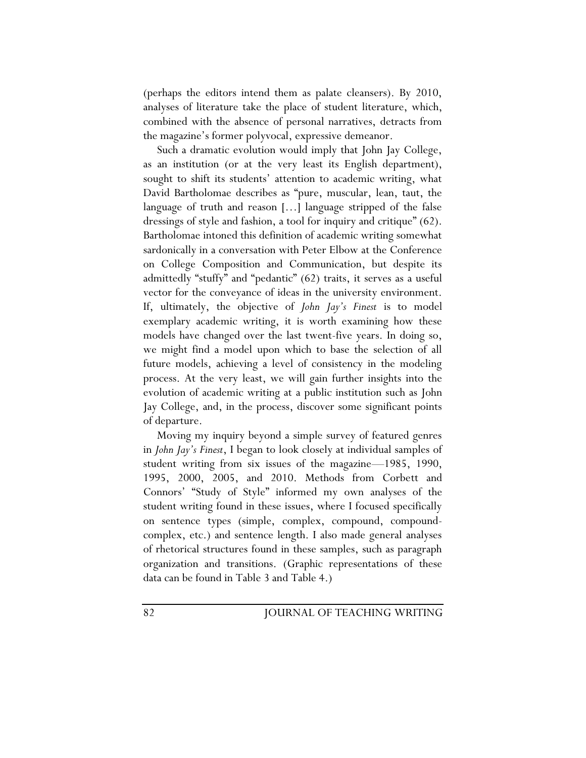(perhaps the editors intend them as palate cleansers). By 2010, analyses of literature take the place of student literature, which, combined with the absence of personal narratives, detracts from the magazine's former polyvocal, expressive demeanor.

Such a dramatic evolution would imply that John Jay College, as an institution (or at the very least its English department), sought to shift its students' attention to academic writing, what David Bartholomae describes as "pure, muscular, lean, taut, the language of truth and reason […] language stripped of the false dressings of style and fashion, a tool for inquiry and critique" (62). Bartholomae intoned this definition of academic writing somewhat sardonically in a conversation with Peter Elbow at the Conference on College Composition and Communication, but despite its admittedly "stuffy" and "pedantic" (62) traits, it serves as a useful vector for the conveyance of ideas in the university environment. If, ultimately, the objective of *John Jay's Finest* is to model exemplary academic writing, it is worth examining how these models have changed over the last twent-five years. In doing so, we might find a model upon which to base the selection of all future models, achieving a level of consistency in the modeling process. At the very least, we will gain further insights into the evolution of academic writing at a public institution such as John Jay College, and, in the process, discover some significant points of departure.

Moving my inquiry beyond a simple survey of featured genres in *John Jay's Finest*, I began to look closely at individual samples of student writing from six issues of the magazine—1985, 1990, 1995, 2000, 2005, and 2010. Methods from Corbett and Connors' "Study of Style" informed my own analyses of the student writing found in these issues, where I focused specifically on sentence types (simple, complex, compound, compoundcomplex, etc.) and sentence length. I also made general analyses of rhetorical structures found in these samples, such as paragraph organization and transitions. (Graphic representations of these data can be found in Table 3 and Table 4.)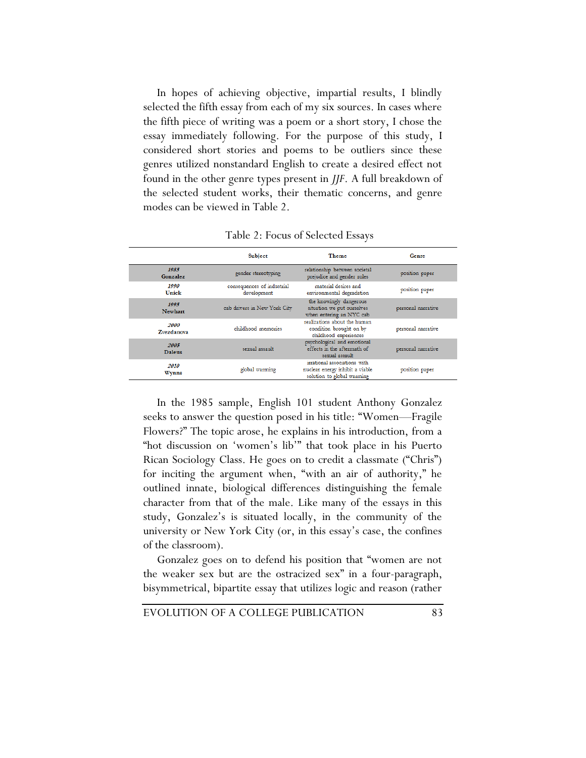In hopes of achieving objective, impartial results, I blindly selected the fifth essay from each of my six sources. In cases where the fifth piece of writing was a poem or a short story, I chose the essay immediately following. For the purpose of this study, I considered short stories and poems to be outliers since these genres utilized nonstandard English to create a desired effect not found in the other genre types present in *JJF*. A full breakdown of the selected student works, their thematic concerns, and genre modes can be viewed in Table 2.

|                       | Subject                                   | <b>Theme</b>                                                                                  | Genre              |
|-----------------------|-------------------------------------------|-----------------------------------------------------------------------------------------------|--------------------|
| 1985<br>Gonzalez      | gender stereotyping                       | relationship between societal<br>prejudice and gender roles                                   | position paper     |
| 1990<br>Unick         | consequences of industrial<br>development | material desires and<br>environmental degradation                                             | position paper     |
| 1995<br>Newhart       | cab drivers in New York City              | the knowingly dangerous<br>situation we put ourselves<br>when entering an NYC cab             | personal narrative |
| 2000<br>Zvezdanova    | childhood memories                        | realizations about the human<br>condition brought on by<br>childhood experiences              | personal narrative |
| 2005<br><b>Daleus</b> | sexual assault                            | psychological and emotional<br>effects in the aftermath of<br>sexual assault                  | personal narrative |
| 2010<br><b>Wynns</b>  | global warming                            | irrational associations with<br>nuclear energy inhibit a viable<br>solution to global warming | position paper     |

Table 2: Focus of Selected Essays

In the 1985 sample, English 101 student Anthony Gonzalez seeks to answer the question posed in his title: "Women—Fragile Flowers?" The topic arose, he explains in his introduction, from a "hot discussion on 'women's lib'" that took place in his Puerto Rican Sociology Class. He goes on to credit a classmate ("Chris") for inciting the argument when, "with an air of authority," he outlined innate, biological differences distinguishing the female character from that of the male. Like many of the essays in this study, Gonzalez's is situated locally, in the community of the university or New York City (or, in this essay's case, the confines of the classroom).

Gonzalez goes on to defend his position that "women are not the weaker sex but are the ostracized sex" in a four-paragraph, bisymmetrical, bipartite essay that utilizes logic and reason (rather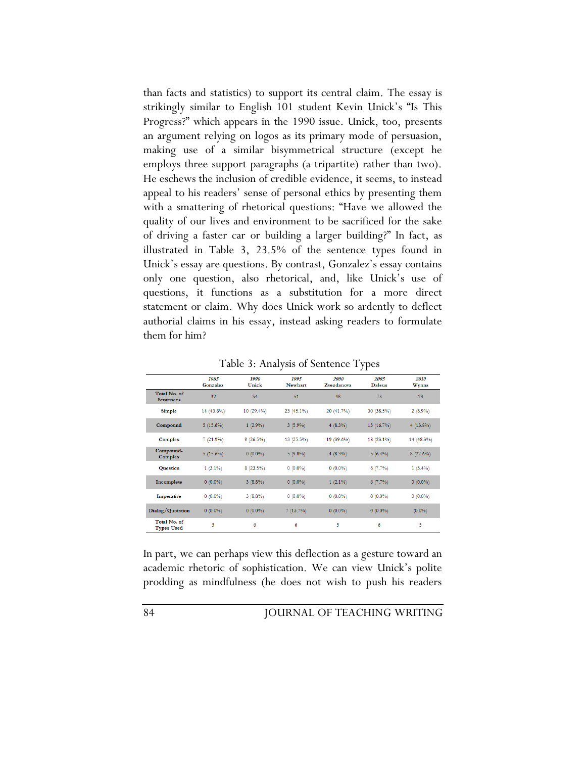than facts and statistics) to support its central claim. The essay is strikingly similar to English 101 student Kevin Unick's "Is This Progress?" which appears in the 1990 issue. Unick, too, presents an argument relying on logos as its primary mode of persuasion, making use of a similar bisymmetrical structure (except he employs three support paragraphs (a tripartite) rather than two). He eschews the inclusion of credible evidence, it seems, to instead appeal to his readers' sense of personal ethics by presenting them with a smattering of rhetorical questions: "Have we allowed the quality of our lives and environment to be sacrificed for the sake of driving a faster car or building a larger building?" In fact, as illustrated in Table 3, 23.5% of the sentence types found in Unick's essay are questions. By contrast, Gonzalez's essay contains only one question, also rhetorical, and, like Unick's use of questions, it functions as a substitution for a more direct statement or claim. Why does Unick work so ardently to deflect authorial claims in his essay, instead asking readers to formulate them for him?

|                                   | 1985<br>Gonzalez | 1990<br>Unick | 1995<br><b>Newhart</b> | 2000<br>Zvezdanova | 2005<br><b>Daleus</b> | 2010<br>Wynns |
|-----------------------------------|------------------|---------------|------------------------|--------------------|-----------------------|---------------|
| Total No. of<br><b>Sentences</b>  | 32               | 34            | 51                     | 48                 | 78                    | 29            |
| <b>Simple</b>                     | 14 (43.8%)       | $10(29.4\%)$  | $23(45.1\%)$           | 20 (41.7%)         | 30 (38.5%)            | 2(6.9%)       |
| Compound                          | $5(15.6\%)$      | $1(2.9\%)$    | $3(5.9\%)$             | $4(8.3\%)$         | $13(16.7\%)$          | $4(13.8\%)$   |
| <b>Complex</b>                    | 7(21.9%)         | $9(26.5\%)$   | 13 (25.5%)             | 19 (39.6%)         | 18 (23.1%)            | 14 (48.3%)    |
| Compound-<br><b>Complex</b>       | $5(15.6\%)$      | $0(0.0\%)$    | $5(9.8\%)$             | $4(8.3\%)$         | $5(6.4\%)$            | 8(27.6%)      |
| <b>Question</b>                   | $1(3.1\%)$       | $8(23.5\%)$   | $0(0.0\%)$             | $0(0.0\%)$         | 6(7.7%)               | $1(3.4\%)$    |
| Incomplete                        | $0(0.0\%)$       | $3(8.8\%)$    | $0(0.0\%)$             | $1(2.1\%)$         | $6(7.7\%)$            | $0(0.0\%)$    |
| Imperative                        | $0(0.0\%)$       | $3(8.8\%)$    | $0(0.0\%)$             | $0(0.0\%)$         | $0(0.0\%)$            | $0(0.0\%)$    |
| Dialog/Quotation                  | $0(0.0\%)$       | $0(0.0\%)$    | 7(13.7%)               | $0(0.0\%)$         | $0(0.0\%)$            | $(0.0\%)$     |
| Total No. of<br><b>Types Used</b> | 5                | 6             | 6                      | 5                  | 6                     | 5             |

Table 3: Analysis of Sentence Types

In part, we can perhaps view this deflection as a gesture toward an academic rhetoric of sophistication. We can view Unick's polite prodding as mindfulness (he does not wish to push his readers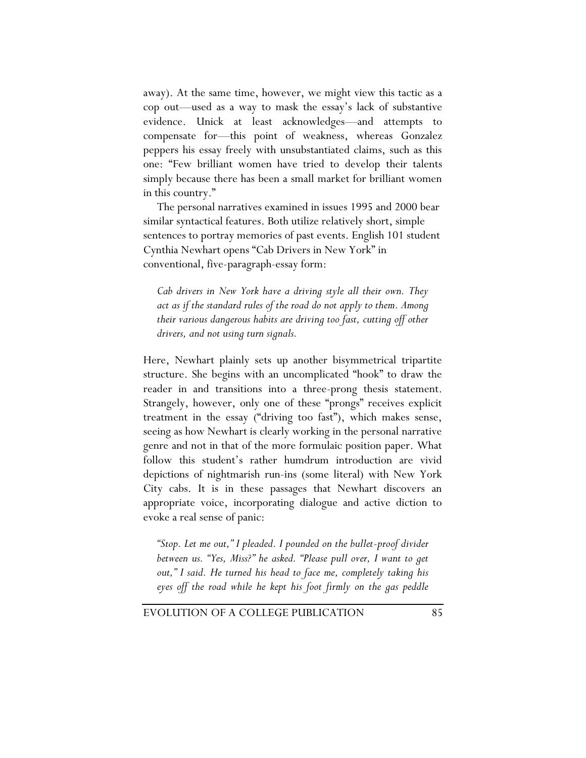away). At the same time, however, we might view this tactic as a cop out—used as a way to mask the essay's lack of substantive evidence. Unick at least acknowledges—and attempts to compensate for—this point of weakness, whereas Gonzalez peppers his essay freely with unsubstantiated claims, such as this one: "Few brilliant women have tried to develop their talents simply because there has been a small market for brilliant women in this country."

The personal narratives examined in issues 1995 and 2000 bear similar syntactical features. Both utilize relatively short, simple sentences to portray memories of past events. English 101 student Cynthia Newhart opens "Cab Drivers in New York" in conventional, five-paragraph-essay form:

*Cab drivers in New York have a driving style all their own. They act as if the standard rules of the road do not apply to them. Among their various dangerous habits are driving too fast, cutting off other drivers, and not using turn signals.*

Here, Newhart plainly sets up another bisymmetrical tripartite structure. She begins with an uncomplicated "hook" to draw the reader in and transitions into a three-prong thesis statement. Strangely, however, only one of these "prongs" receives explicit treatment in the essay ("driving too fast"), which makes sense, seeing as how Newhart is clearly working in the personal narrative genre and not in that of the more formulaic position paper. What follow this student's rather humdrum introduction are vivid depictions of nightmarish run-ins (some literal) with New York City cabs. It is in these passages that Newhart discovers an appropriate voice, incorporating dialogue and active diction to evoke a real sense of panic:

*"Stop. Let me out," I pleaded. I pounded on the bullet-proof divider between us. "Yes, Miss?" he asked. "Please pull over, I want to get out," I said. He turned his head to face me, completely taking his eyes off the road while he kept his foot firmly on the gas peddle*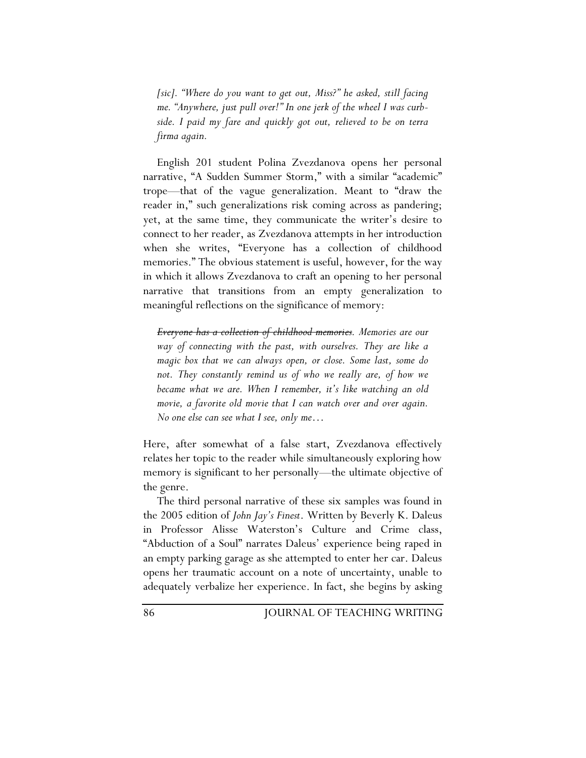*[sic]. "Where do you want to get out, Miss?" he asked, still facing me. "Anywhere, just pull over!" In one jerk of the wheel I was curbside. I paid my fare and quickly got out, relieved to be on terra firma again.*

English 201 student Polina Zvezdanova opens her personal narrative, "A Sudden Summer Storm," with a similar "academic" trope—that of the vague generalization. Meant to "draw the reader in," such generalizations risk coming across as pandering; yet, at the same time, they communicate the writer's desire to connect to her reader, as Zvezdanova attempts in her introduction when she writes, "Everyone has a collection of childhood memories." The obvious statement is useful, however, for the way in which it allows Zvezdanova to craft an opening to her personal narrative that transitions from an empty generalization to meaningful reflections on the significance of memory:

*Everyone has a collection of childhood memories. Memories are our way of connecting with the past, with ourselves. They are like a magic box that we can always open, or close. Some last, some do*  not. They constantly remind us of who we really are, of how we *became what we are. When I remember, it's like watching an old movie, a favorite old movie that I can watch over and over again. No one else can see what I see, only me…* 

Here, after somewhat of a false start, Zvezdanova effectively relates her topic to the reader while simultaneously exploring how memory is significant to her personally—the ultimate objective of the genre.

The third personal narrative of these six samples was found in the 2005 edition of *John Jay's Finest*. Written by Beverly K. Daleus in Professor Alisse Waterston's Culture and Crime class, "Abduction of a Soul" narrates Daleus' experience being raped in an empty parking garage as she attempted to enter her car. Daleus opens her traumatic account on a note of uncertainty, unable to adequately verbalize her experience. In fact, she begins by asking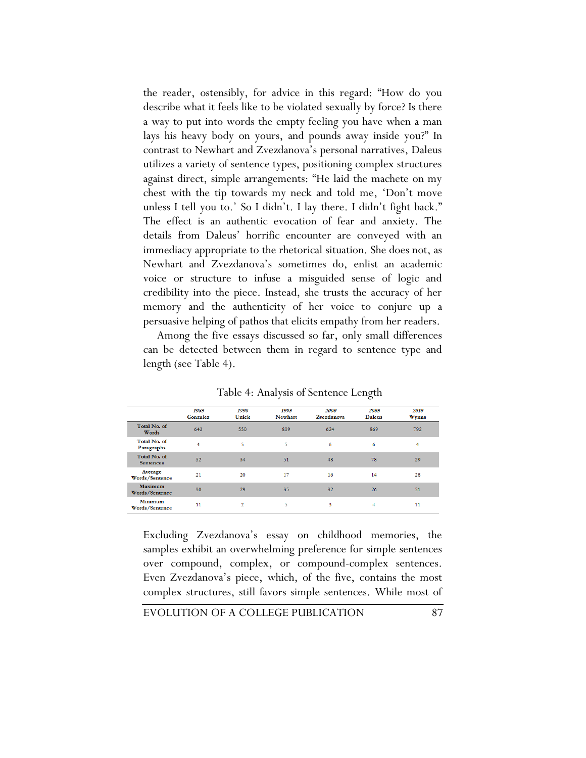the reader, ostensibly, for advice in this regard: "How do you describe what it feels like to be violated sexually by force? Is there a way to put into words the empty feeling you have when a man lays his heavy body on yours, and pounds away inside you?" In contrast to Newhart and Zvezdanova's personal narratives, Daleus utilizes a variety of sentence types, positioning complex structures against direct, simple arrangements: "He laid the machete on my chest with the tip towards my neck and told me, 'Don't move unless I tell you to.' So I didn't. I lay there. I didn't fight back." The effect is an authentic evocation of fear and anxiety. The details from Daleus' horrific encounter are conveyed with an immediacy appropriate to the rhetorical situation. She does not, as Newhart and Zvezdanova's sometimes do, enlist an academic voice or structure to infuse a misguided sense of logic and credibility into the piece. Instead, she trusts the accuracy of her memory and the authenticity of her voice to conjure up a persuasive helping of pathos that elicits empathy from her readers.

Among the five essays discussed so far, only small differences can be detected between them in regard to sentence type and length (see Table 4).

|                                  | 1985<br>Gonzalez | 1990<br>Unick | 1995<br>Newhart | 2000<br>Zvezdanova | 2005<br><b>Daleus</b> | 2010<br>Wynns |
|----------------------------------|------------------|---------------|-----------------|--------------------|-----------------------|---------------|
| Total No. of<br>Words            | 643              | 550           | 809             | 624                | 869                   | 792           |
| Total No. of<br>Paragraphs       | 4                | 5             | 5               | 6                  | 6                     | 4             |
| Total No. of<br><b>Sentences</b> | 32               | 34            | 51              | 48                 | 78                    | 29            |
| Average<br>Words/Sentence        | 21               | 20            | 17              | 16                 | 14                    | 28            |
| Maximum<br>Words/Sentence        | 30               | 29            | 35              | 32                 | 26                    | 51            |
| Minimum<br>Words/Sentence        | 11               | 2             | 5               | 3                  | 4                     | 11            |

Table 4: Analysis of Sentence Length

Excluding Zvezdanova's essay on childhood memories, the samples exhibit an overwhelming preference for simple sentences over compound, complex, or compound-complex sentences. Even Zvezdanova's piece, which, of the five, contains the most complex structures, still favors simple sentences. While most of

EVOLUTION OF A COLLEGE PUBLICATION 87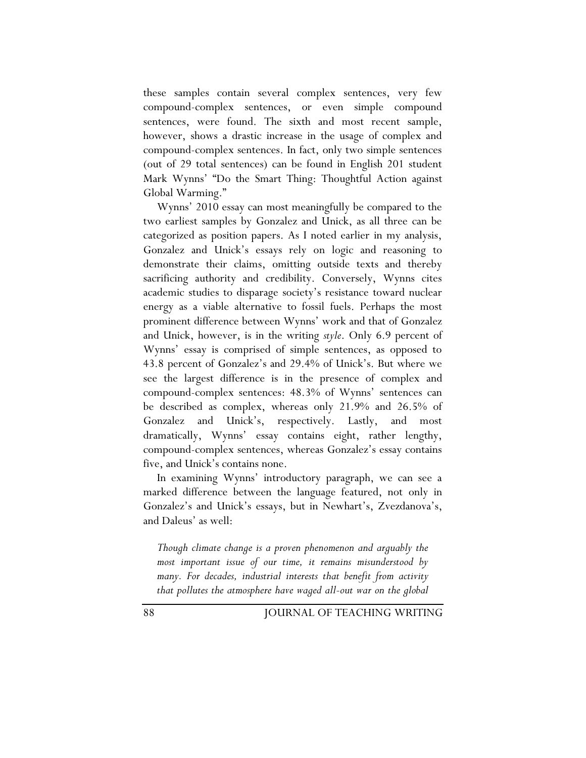these samples contain several complex sentences, very few compound-complex sentences, or even simple compound sentences, were found. The sixth and most recent sample, however, shows a drastic increase in the usage of complex and compound-complex sentences. In fact, only two simple sentences (out of 29 total sentences) can be found in English 201 student Mark Wynns' "Do the Smart Thing: Thoughtful Action against Global Warming."

Wynns' 2010 essay can most meaningfully be compared to the two earliest samples by Gonzalez and Unick, as all three can be categorized as position papers. As I noted earlier in my analysis, Gonzalez and Unick's essays rely on logic and reasoning to demonstrate their claims, omitting outside texts and thereby sacrificing authority and credibility. Conversely, Wynns cites academic studies to disparage society's resistance toward nuclear energy as a viable alternative to fossil fuels. Perhaps the most prominent difference between Wynns' work and that of Gonzalez and Unick, however, is in the writing *style*. Only 6.9 percent of Wynns' essay is comprised of simple sentences, as opposed to 43.8 percent of Gonzalez's and 29.4% of Unick's. But where we see the largest difference is in the presence of complex and compound-complex sentences: 48.3% of Wynns' sentences can be described as complex, whereas only 21.9% and 26.5% of Gonzalez and Unick's, respectively. Lastly, and most dramatically, Wynns' essay contains eight, rather lengthy, compound-complex sentences, whereas Gonzalez's essay contains five, and Unick's contains none.

In examining Wynns' introductory paragraph, we can see a marked difference between the language featured, not only in Gonzalez's and Unick's essays, but in Newhart's, Zvezdanova's, and Daleus' as well:

*Though climate change is a proven phenomenon and arguably the most important issue of our time, it remains misunderstood by many. For decades, industrial interests that benefit from activity that pollutes the atmosphere have waged all-out war on the global*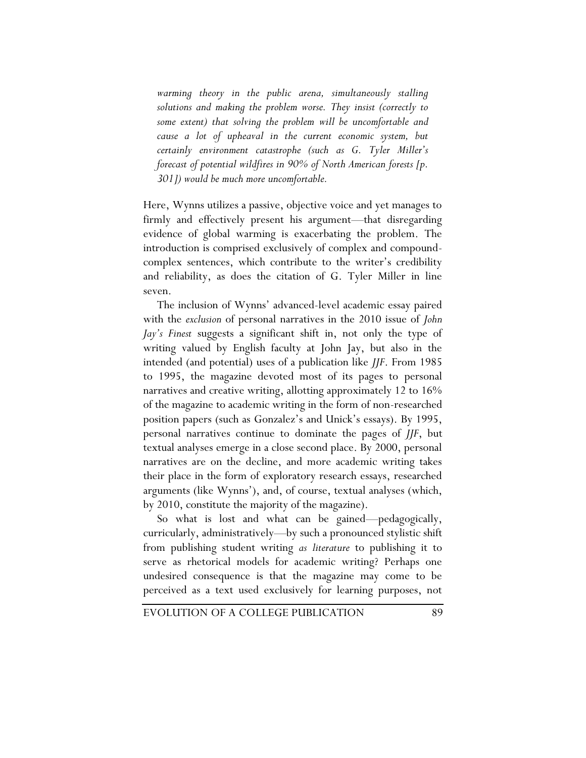*warming theory in the public arena, simultaneously stalling solutions and making the problem worse. They insist (correctly to some extent) that solving the problem will be uncomfortable and cause a lot of upheaval in the current economic system, but certainly environment catastrophe (such as G. Tyler Miller's forecast of potential wildfires in 90% of North American forests [p. 301]) would be much more uncomfortable.*

Here, Wynns utilizes a passive, objective voice and yet manages to firmly and effectively present his argument—that disregarding evidence of global warming is exacerbating the problem. The introduction is comprised exclusively of complex and compoundcomplex sentences, which contribute to the writer's credibility and reliability, as does the citation of G. Tyler Miller in line seven.

The inclusion of Wynns' advanced-level academic essay paired with the *exclusion* of personal narratives in the 2010 issue of *John Jay's Finest* suggests a significant shift in, not only the type of writing valued by English faculty at John Jay, but also in the intended (and potential) uses of a publication like *JJF*. From 1985 to 1995, the magazine devoted most of its pages to personal narratives and creative writing, allotting approximately 12 to 16% of the magazine to academic writing in the form of non-researched position papers (such as Gonzalez's and Unick's essays). By 1995, personal narratives continue to dominate the pages of *JJF*, but textual analyses emerge in a close second place. By 2000, personal narratives are on the decline, and more academic writing takes their place in the form of exploratory research essays, researched arguments (like Wynns'), and, of course, textual analyses (which, by 2010, constitute the majority of the magazine).

So what is lost and what can be gained—pedagogically, curricularly, administratively—by such a pronounced stylistic shift from publishing student writing *as literature* to publishing it to serve as rhetorical models for academic writing? Perhaps one undesired consequence is that the magazine may come to be perceived as a text used exclusively for learning purposes, not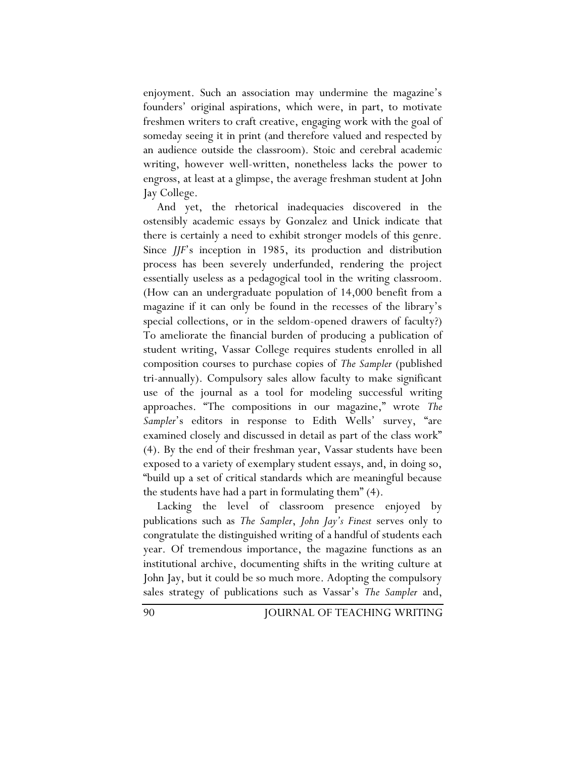enjoyment. Such an association may undermine the magazine's founders' original aspirations, which were, in part, to motivate freshmen writers to craft creative, engaging work with the goal of someday seeing it in print (and therefore valued and respected by an audience outside the classroom). Stoic and cerebral academic writing, however well-written, nonetheless lacks the power to engross, at least at a glimpse, the average freshman student at John Jay College.

And yet, the rhetorical inadequacies discovered in the ostensibly academic essays by Gonzalez and Unick indicate that there is certainly a need to exhibit stronger models of this genre. Since *JJF*'s inception in 1985, its production and distribution process has been severely underfunded, rendering the project essentially useless as a pedagogical tool in the writing classroom. (How can an undergraduate population of 14,000 benefit from a magazine if it can only be found in the recesses of the library's special collections, or in the seldom-opened drawers of faculty?) To ameliorate the financial burden of producing a publication of student writing, Vassar College requires students enrolled in all composition courses to purchase copies of *The Sampler* (published tri-annually). Compulsory sales allow faculty to make significant use of the journal as a tool for modeling successful writing approaches. "The compositions in our magazine," wrote *The Sampler*'s editors in response to Edith Wells' survey, "are examined closely and discussed in detail as part of the class work" (4). By the end of their freshman year, Vassar students have been exposed to a variety of exemplary student essays, and, in doing so, "build up a set of critical standards which are meaningful because the students have had a part in formulating them" (4).

Lacking the level of classroom presence enjoyed by publications such as *The Sampler*, *John Jay's Finest* serves only to congratulate the distinguished writing of a handful of students each year. Of tremendous importance, the magazine functions as an institutional archive, documenting shifts in the writing culture at John Jay, but it could be so much more. Adopting the compulsory sales strategy of publications such as Vassar's *The Sampler* and,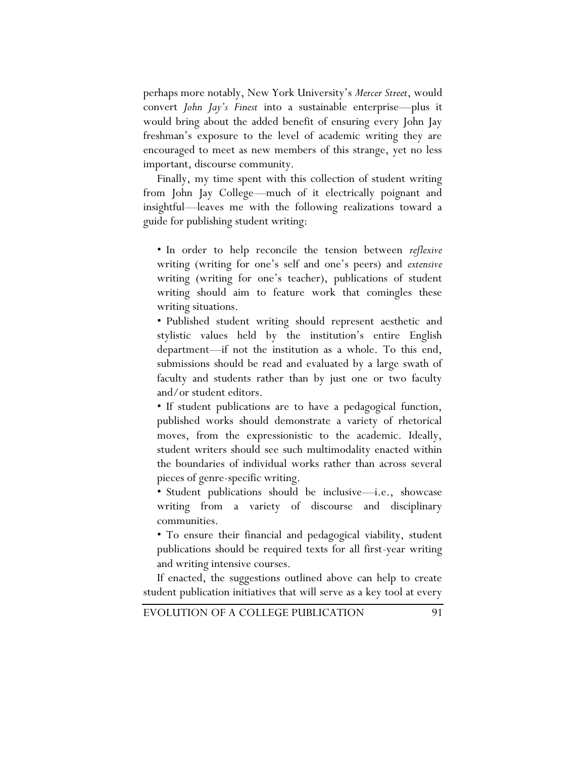perhaps more notably, New York University's *Mercer Street*, would convert *John Jay's Finest* into a sustainable enterprise—plus it would bring about the added benefit of ensuring every John Jay freshman's exposure to the level of academic writing they are encouraged to meet as new members of this strange, yet no less important, discourse community.

Finally, my time spent with this collection of student writing from John Jay College—much of it electrically poignant and insightful—leaves me with the following realizations toward a guide for publishing student writing:

• In order to help reconcile the tension between *reflexive* writing (writing for one's self and one's peers) and *extensive* writing (writing for one's teacher), publications of student writing should aim to feature work that comingles these writing situations.

• Published student writing should represent aesthetic and stylistic values held by the institution's entire English department—if not the institution as a whole. To this end, submissions should be read and evaluated by a large swath of faculty and students rather than by just one or two faculty and/or student editors.

• If student publications are to have a pedagogical function, published works should demonstrate a variety of rhetorical moves, from the expressionistic to the academic. Ideally, student writers should see such multimodality enacted within the boundaries of individual works rather than across several pieces of genre-specific writing.

• Student publications should be inclusive—i.e., showcase writing from a variety of discourse and disciplinary communities.

• To ensure their financial and pedagogical viability, student publications should be required texts for all first-year writing and writing intensive courses.

If enacted, the suggestions outlined above can help to create student publication initiatives that will serve as a key tool at every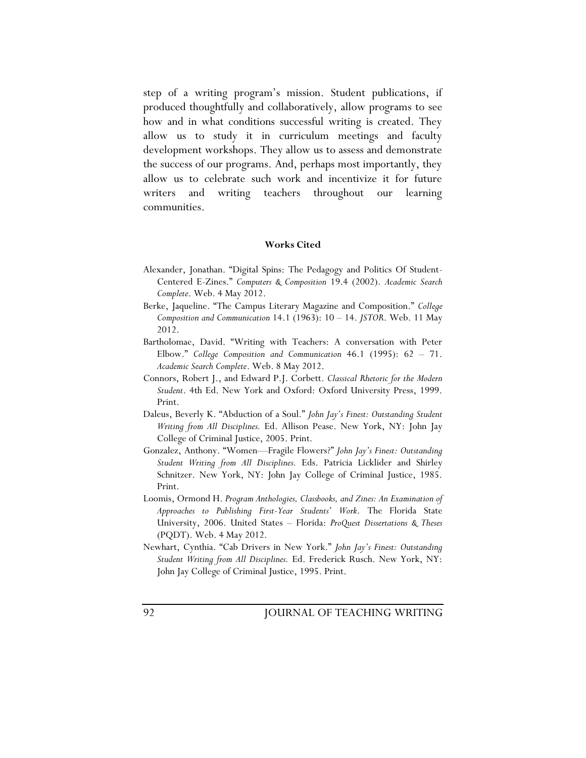step of a writing program's mission. Student publications, if produced thoughtfully and collaboratively, allow programs to see how and in what conditions successful writing is created. They allow us to study it in curriculum meetings and faculty development workshops. They allow us to assess and demonstrate the success of our programs. And, perhaps most importantly, they allow us to celebrate such work and incentivize it for future writers and writing teachers throughout our learning communities.

## **Works Cited**

- Alexander, Jonathan. "Digital Spins: The Pedagogy and Politics Of Student-Centered E-Zines." *Computers & Composition* 19.4 (2002). *Academic Search Complete*. Web. 4 May 2012.
- Berke, Jaqueline. "The Campus Literary Magazine and Composition." *College Composition and Communication* 14.1 (1963): 10 – 14. *JSTOR*. Web. 11 May 2012.
- Bartholomae, David. "Writing with Teachers: A conversation with Peter Elbow." *College Composition and Communication* 46.1 (1995): 62 – 71. *Academic Search Complete*. Web. 8 May 2012.
- Connors, Robert J., and Edward P.J. Corbett. *Classical Rhetoric for the Modern Student*. 4th Ed. New York and Oxford: Oxford University Press, 1999. Print.
- Daleus, Beverly K. "Abduction of a Soul." *John Jay's Finest: Outstanding Student Writing from All Disciplines.* Ed. Allison Pease. New York, NY: John Jay College of Criminal Justice, 2005. Print.
- Gonzalez, Anthony. "Women—Fragile Flowers?" *John Jay's Finest: Outstanding Student Writing from All Disciplines.* Eds. Patricia Licklider and Shirley Schnitzer. New York, NY: John Jay College of Criminal Justice, 1985. Print.
- Loomis, Ormond H. *Program Anthologies, Classbooks, and Zines: An Examination of Approaches to Publishing First-Year Students' Work*. The Florida State University, 2006. United States – Florida: *ProQuest Dissertations & Theses* (PQDT). Web. 4 May 2012.
- Newhart, Cynthia. "Cab Drivers in New York." *John Jay's Finest: Outstanding Student Writing from All Disciplines.* Ed. Frederick Rusch. New York, NY: John Jay College of Criminal Justice, 1995. Print.